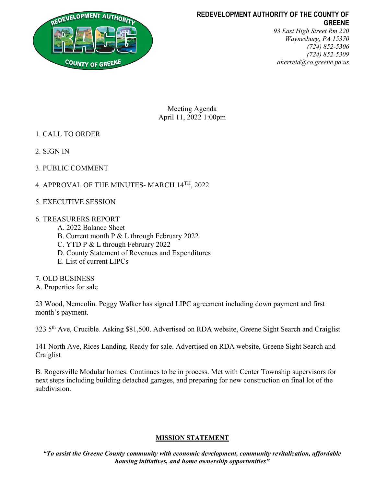

# REDEVELOPMENT AUTHORITY OF THE COUNTY OF **GREENE**

93 East High Street Rm 220 Waynesburg, PA 15370 (724) 852-5306 (724) 852-5309 aherreid@co.greene.pa.us

Meeting Agenda April 11, 2022 1:00pm

- 1. CALL TO ORDER
- 2. SIGN IN
- 3. PUBLIC COMMENT
- 4. APPROVAL OF THE MINUTES- MARCH 14TH, 2022
- 5. EXECUTIVE SESSION

# 6. TREASURERS REPORT

- A. 2022 Balance Sheet
- B. Current month P & L through February 2022
- C. YTD P & L through February 2022
- D. County Statement of Revenues and Expenditures
- E. List of current LIPCs
- 7. OLD BUSINESS
- A. Properties for sale

23 Wood, Nemcolin. Peggy Walker has signed LIPC agreement including down payment and first month's payment.

323 5th Ave, Crucible. Asking \$81,500. Advertised on RDA website, Greene Sight Search and Craiglist

141 North Ave, Rices Landing. Ready for sale. Advertised on RDA website, Greene Sight Search and Craiglist

B. Rogersville Modular homes. Continues to be in process. Met with Center Township supervisors for next steps including building detached garages, and preparing for new construction on final lot of the subdivision.

# MISSION STATEMENT

"To assist the Greene County community with economic development, community revitalization, affordable housing initiatives, and home ownership opportunities"